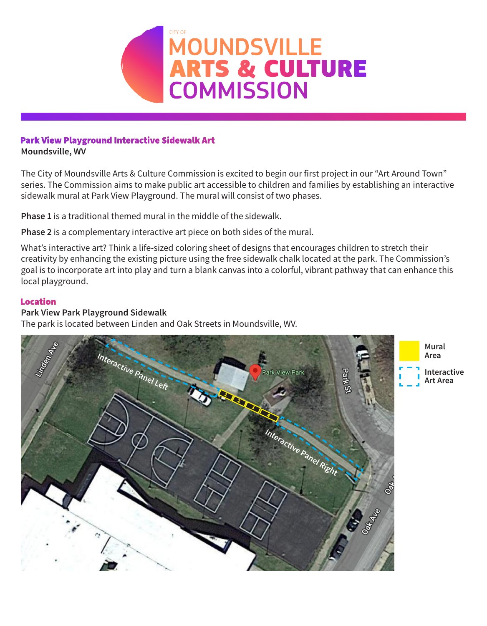

# Park View Playground Interactive Sidewalk Art

**Moundsville, WV**

The City of Moundsville Arts & Culture Commission is excited to begin our first project in our "Art Around Town" series. The Commission aims to make public art accessible to children and families by establishing an interactive sidewalk mural at Park View Playground. The mural will consist of two phases.

**Phase 1** is a traditional themed mural in the middle of the sidewalk.

**Phase 2** is a complementary interactive art piece on both sides of the mural.

What's interactive art? Think a life-sized coloring sheet of designs that encourages children to stretch their creativity by enhancing the existing picture using the free sidewalk chalk located at the park. The Commission's goal is to incorporate art into play and turn a blank canvas into a colorful, vibrant pathway that can enhance this local playground.

#### **Location**

### **Park View Park Playground Sidewalk**

The park is located between Linden and Oak Streets in Moundsville, WV.

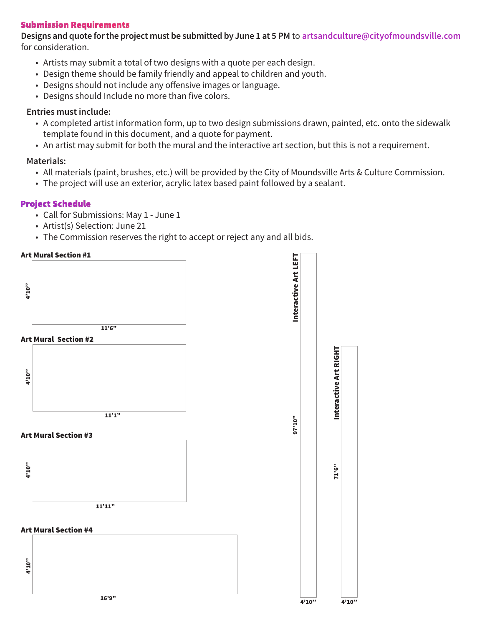### **Submission Requirements**

Designs and quote for the project must be submitted by June 1 at 5 PM to **artsandculture@cityofmoundsville.com** for consideration.

- Artists may submit a total of two designs with a quote per each design.
- Design theme should be family friendly and appeal to children and youth.
- Designs should not include any offensive images or language.
- Designs should Include no more than five colors.

### **Entries must include:**

- A completed artist information form, up to two design submissions drawn, painted, etc. onto the sidewalk template found in this document, and a quote for payment.
- An artist may submit for both the mural and the interactive art section, but this is not a requirement.

# **Materials:**

- All materials (paint, brushes, etc.) will be provided by the City of Moundsville Arts & Culture Commission.
- The project will use an exterior, acrylic latex based paint followed by a sealant.

# **Project Schedule**

- Call for Submissions: May 1 June 1
- Artist(s) Selection: June 21
- The Commission reserves the right to accept or reject any and all bids.

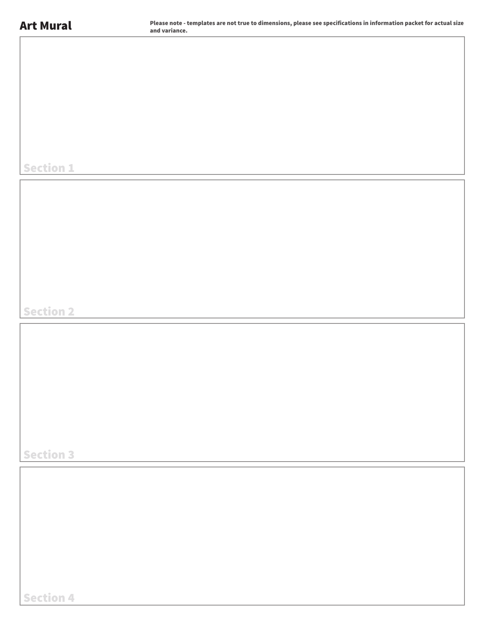Section 1

Section 2

Section 3

Section 4